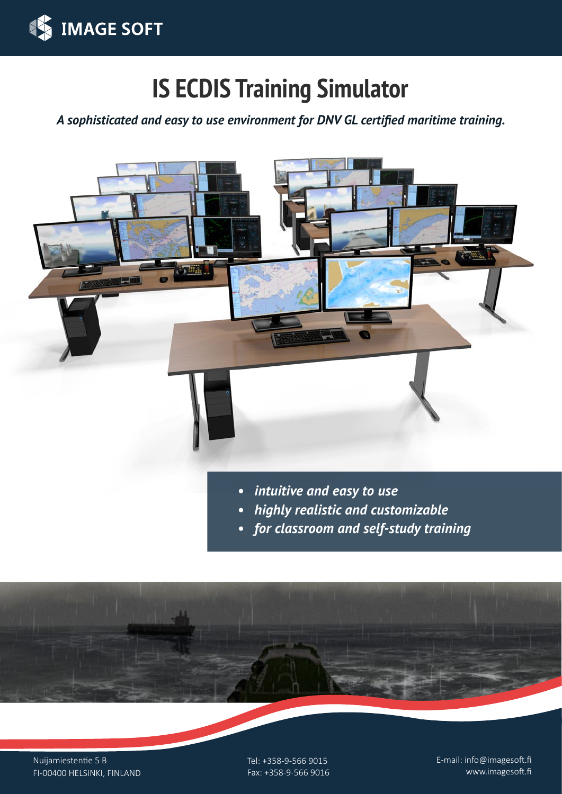

# **IS ECDIS Training Simulator**

*A sophisticated and easy to use environment for DNV GL certified maritime training.*



Nuijamiestentie 5 B FI-00400 HELSINKI, FINLAND Tel: +358-9-566 9015 Fax: +358-9-566 9016 E-mail: info@imagesoft.fi www.imagesoft.fi